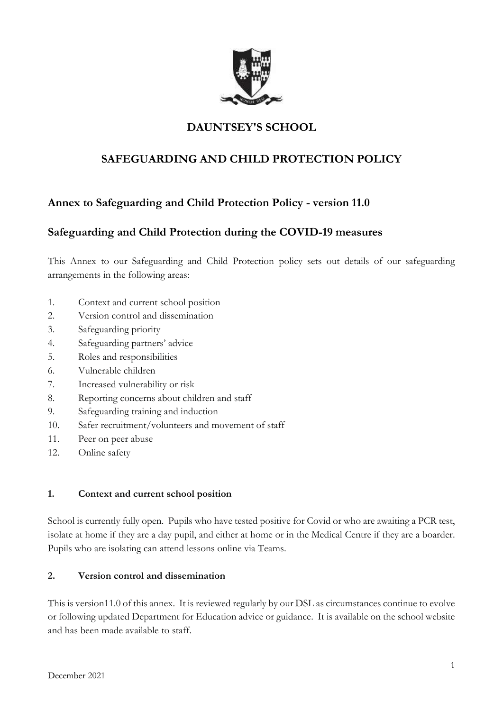

# **DAUNTSEY'S SCHOOL**

# **SAFEGUARDING AND CHILD PROTECTION POLICY**

## **Annex to Safeguarding and Child Protection Policy - version 11.0**

## **Safeguarding and Child Protection during the COVID-19 measures**

This Annex to our Safeguarding and Child Protection policy sets out details of our safeguarding arrangements in the following areas:

- 1. Context and current school position
- 2. Version control and dissemination
- 3. Safeguarding priority
- 4. Safeguarding partners' advice
- 5. Roles and responsibilities
- 6. Vulnerable children
- 7. Increased vulnerability or risk
- 8. Reporting concerns about children and staff
- 9. Safeguarding training and induction
- 10. Safer recruitment/volunteers and movement of staff
- 11. Peer on peer abuse
- 12. Online safety

#### **1. Context and current school position**

School is currently fully open. Pupils who have tested positive for Covid or who are awaiting a PCR test, isolate at home if they are a day pupil, and either at home or in the Medical Centre if they are a boarder. Pupils who are isolating can attend lessons online via Teams.

#### **2. Version control and dissemination**

This is version11.0 of this annex. It is reviewed regularly by our DSL as circumstances continue to evolve or following updated Department for Education advice or guidance. It is available on the school website and has been made available to staff.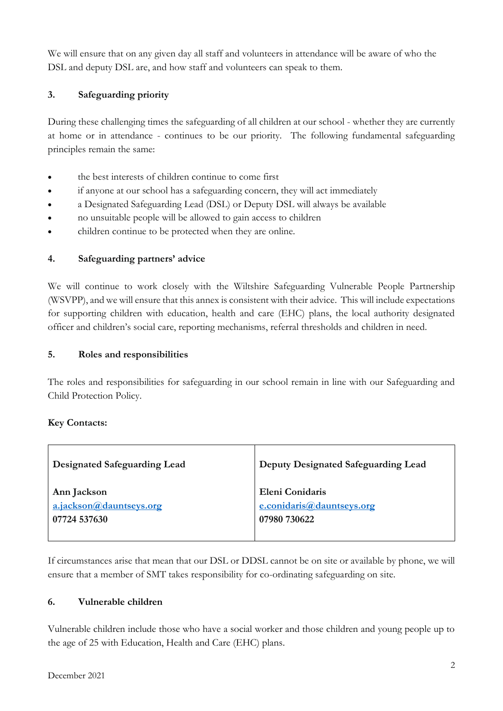We will ensure that on any given day all staff and volunteers in attendance will be aware of who the DSL and deputy DSL are, and how staff and volunteers can speak to them.

## **3. Safeguarding priority**

During these challenging times the safeguarding of all children at our school - whether they are currently at home or in attendance - continues to be our priority. The following fundamental safeguarding principles remain the same:

- the best interests of children continue to come first
- if anyone at our school has a safeguarding concern, they will act immediately
- a Designated Safeguarding Lead (DSL) or Deputy DSL will always be available
- no unsuitable people will be allowed to gain access to children
- children continue to be protected when they are online.

## **4. Safeguarding partners' advice**

We will continue to work closely with the Wiltshire Safeguarding Vulnerable People Partnership (WSVPP), and we will ensure that this annex is consistent with their advice. This will include expectations for supporting children with education, health and care (EHC) plans, the local authority designated officer and children's social care, reporting mechanisms, referral thresholds and children in need.

## **5. Roles and responsibilities**

The roles and responsibilities for safeguarding in our school remain in line with our Safeguarding and Child Protection Policy.

## **Key Contacts:**

| Designated Safeguarding Lead | Deputy Designated Safeguarding Lead |
|------------------------------|-------------------------------------|
| Ann Jackson                  | Eleni Conidaris                     |
| a.jackson@dauntseys.org      | e.conidaris@dauntseys.org           |
| 07724 537630                 | 07980 730622                        |

If circumstances arise that mean that our DSL or DDSL cannot be on site or available by phone, we will ensure that a member of SMT takes responsibility for co-ordinating safeguarding on site.

## **6. Vulnerable children**

Vulnerable children include those who have a social worker and those children and young people up to the age of 25 with Education, Health and Care (EHC) plans.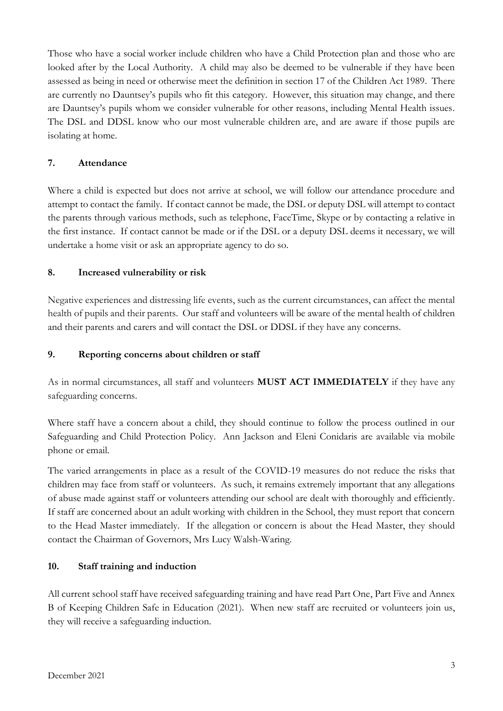Those who have a social worker include children who have a Child Protection plan and those who are looked after by the Local Authority. A child may also be deemed to be vulnerable if they have been assessed as being in need or otherwise meet the definition in section 17 of the Children Act 1989. There are currently no Dauntsey's pupils who fit this category. However, this situation may change, and there are Dauntsey's pupils whom we consider vulnerable for other reasons, including Mental Health issues. The DSL and DDSL know who our most vulnerable children are, and are aware if those pupils are isolating at home.

## **7. Attendance**

Where a child is expected but does not arrive at school, we will follow our attendance procedure and attempt to contact the family. If contact cannot be made, the DSL or deputy DSL will attempt to contact the parents through various methods, such as telephone, FaceTime, Skype or by contacting a relative in the first instance. If contact cannot be made or if the DSL or a deputy DSL deems it necessary, we will undertake a home visit or ask an appropriate agency to do so.

## **8. Increased vulnerability or risk**

Negative experiences and distressing life events, such as the current circumstances, can affect the mental health of pupils and their parents. Our staff and volunteers will be aware of the mental health of children and their [parents](about:blank) and carers and will contact the DSL or DDSL if they have any concerns.

### **9. Reporting concerns about children or staff**

As in normal circumstances, all staff and volunteers **MUST ACT IMMEDIATELY** if they have any safeguarding concerns.

Where staff have a concern about a child, they should continue to follow the process outlined in our Safeguarding and Child Protection Policy. Ann Jackson and Eleni Conidaris are available via mobile phone or email.

The varied arrangements in place as a result of the COVID-19 measures do not reduce the risks that children may face from staff or volunteers. As such, it remains extremely important that any allegations of abuse made against staff or volunteers attending our school are dealt with thoroughly and efficiently. If staff are concerned about an adult working with children in the School, they must report that concern to the Head Master immediately. If the allegation or concern is about the Head Master, they should contact the Chairman of Governors, Mrs Lucy Walsh-Waring.

#### **10. Staff training and induction**

All current school staff have received safeguarding training and have read Part One, Part Five and Annex B of Keeping Children Safe in Education (2021). When new staff are recruited or volunteers join us, they will receive a safeguarding induction.